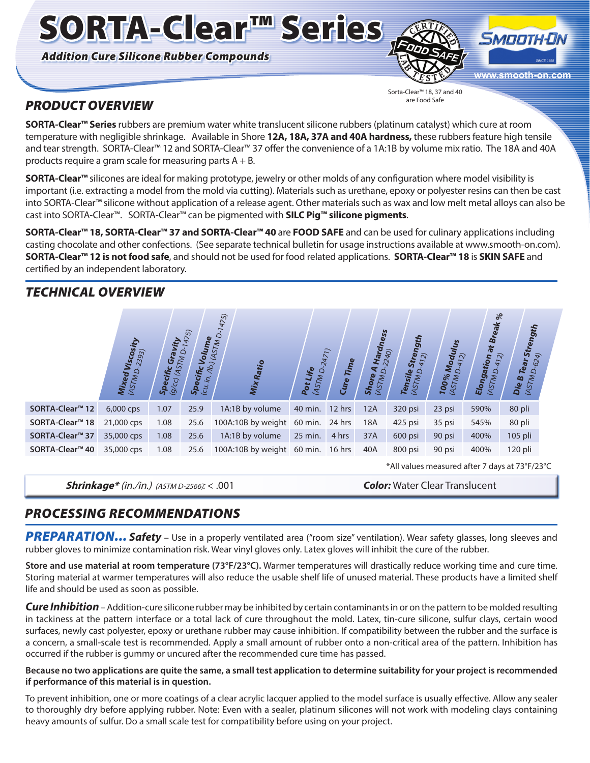*Addition Cure Silicone Rubber Compounds*

SORTA-Clear™ Series



Sorta-Clear™ 18, 37 and 40 are Food Safe

## *PRODUCT OVERVIEW*

**SORTA-Clear™ Series** rubbers are premium water white translucent silicone rubbers (platinum catalyst) which cure at room temperature with negligible shrinkage. Available in Shore **12A, 18A, 37A and 40A hardness,** these rubbers feature high tensile and tear strength. SORTA-Clear<sup>™</sup> 12 and SORTA-Clear™ 37 offer the convenience of a 1A:1B by volume mix ratio. The 18A and 40A products require a gram scale for measuring parts  $A + B$ .

**SORTA-Clear™** silicones are ideal for making prototype, jewelry or other molds of any configuration where model visibility is important (i.e. extracting a model from the mold via cutting). Materials such as urethane, epoxy or polyester resins can then be cast into SORTA-Clear™ silicone without application of a release agent. Other materials such as wax and low melt metal alloys can also be cast into SORTA-Clear™. SORTA-Clear™ can be pigmented with **SILC Pig™ silicone pigments**.

**SORTA-Clear™ 18, SORTA-Clear™ 37 and SORTA-Clear™ 40** are **FOOD SAFE** and can be used for culinary applications including casting chocolate and other confections. (See separate technical bulletin for usage instructions available at www.smooth-on.com). **SORTA-Clear™ 12 is not food safe**, and should not be used for food related applications. **SORTA-Clear™ 18** is **SKIN SAFE** and certified by an independent laboratory.

## *TECHNICAL OVERVIEW*

|                             | sity<br>2393)<br>Visco.<br>Mixed L<br>(ASTM D. | Gravity<br>(ASTM D.<br>Specific<br>9/6 | 1475)<br>$\frac{\textit{Specific}}{\textit{(cu, in. /lb.)}}$ | Volume<br><sup>DJ (ASTM D-1475)</sup><br>Mix Ratio | 2471)<br>Pot Life<br>(ASTM D. | Time<br>Cure | Hardness<br><sup>-2240)</sup><br>⋖ ੦ੱ<br><b>Shore</b><br>(ASTM) | Strength<br>412)<br>Tensile<br>(ASTM D. | Modulus<br>$\overline{2}$<br>Ó<br><b>100%</b><br>(ASTM) | $\%$<br>Break<br>$\ddot{a}$<br>412)<br>Elongation<br>Ó<br><b>MISTM</b> | <b>Strength</b><br>624)<br>Tear<br>ద<br>Die B |
|-----------------------------|------------------------------------------------|----------------------------------------|--------------------------------------------------------------|----------------------------------------------------|-------------------------------|--------------|-----------------------------------------------------------------|-----------------------------------------|---------------------------------------------------------|------------------------------------------------------------------------|-----------------------------------------------|
| SORTA-Clear <sup>™</sup> 12 | 6,000 cps                                      | 1.07                                   | 25.9                                                         | 1A:1B by volume                                    | 40 min.                       | 12 hrs       | 12A                                                             | 320 psi                                 | 23 psi                                                  | 590%                                                                   | 80 pli                                        |
| SORTA-Clear <sup>™</sup> 18 | 21,000 cps                                     | 1.08                                   | 25.6                                                         | 100A:10B by weight                                 | 60 min.                       | 24 hrs       | 18A                                                             | 425 psi                                 | 35 psi                                                  | 545%                                                                   | 80 pli                                        |
| SORTA-Clear <sup>™</sup> 37 | 35,000 cps                                     | 1.08                                   | 25.6                                                         | 1A:1B by volume                                    | 25 min.                       | 4 hrs        | 37A                                                             | 600 psi                                 | 90 psi                                                  | 400%                                                                   | 105 pli                                       |
| SORTA-Clear <sup>™</sup> 40 | 35,000 cps                                     | 1.08                                   | 25.6                                                         | 100A:10B by weight 60 min.                         |                               | 16 hrs       | 40A                                                             | 800 psi                                 | 90 psi                                                  | 400%                                                                   | 120 pli                                       |

**Shrinkage\*** (in./in.) (ASTM D-2566)*:* < .001 *Color:* Water Clear Translucent

\*All values measured after 7 days at 73°F/23°C

# *PROCESSING RECOMMENDATIONS*

PREPARATION... Safety – Use in a properly ventilated area ("room size" ventilation). Wear safety glasses, long sleeves and rubber gloves to minimize contamination risk. Wear vinyl gloves only. Latex gloves will inhibit the cure of the rubber.

**Store and use material at room temperature (73°F/23°C).** Warmer temperatures will drastically reduce working time and cure time. Storing material at warmer temperatures will also reduce the usable shelf life of unused material. These products have a limited shelf life and should be used as soon as possible.

*Cure Inhibition* – Addition-cure silicone rubber may be inhibited by certain contaminants in or on the pattern to be molded resulting in tackiness at the pattern interface or a total lack of cure throughout the mold. Latex, tin-cure silicone, sulfur clays, certain wood surfaces, newly cast polyester, epoxy or urethane rubber may cause inhibition. If compatibility between the rubber and the surface is a concern, a small-scale test is recommended. Apply a small amount of rubber onto a non-critical area of the pattern. Inhibition has occurred if the rubber is gummy or uncured after the recommended cure time has passed.

#### **Because no two applications are quite the same, a small test application to determine suitability for your project is recommended if performance of this material is in question.**

To prevent inhibition, one or more coatings of a clear acrylic lacquer applied to the model surface is usually effective. Allow any sealer to thoroughly dry before applying rubber. Note: Even with a sealer, platinum silicones will not work with modeling clays containing heavy amounts of sulfur. Do a small scale test for compatibility before using on your project.